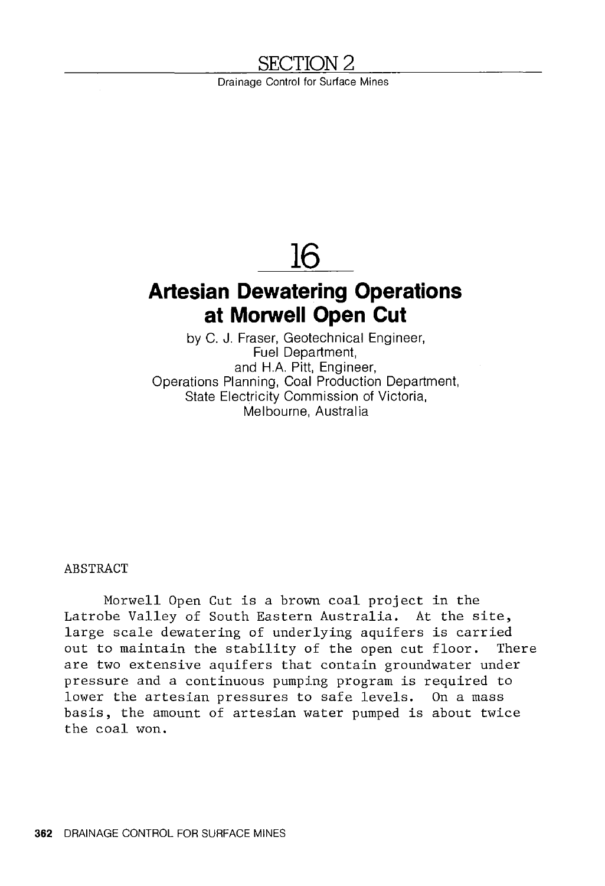# **SECTION2**

Drainage Control for Surface Mines

# **16**

# **Artesian Dewatering Operations at Morwell Open Cut**

by C. J. Fraser, Geotechnical Engineer, Fuel Department, and H.A. Pitt, Engineer, Operations Planning, Coal Production Department, State Electricity Commission of Victoria, Melbourne, Australia

## ABSTRACT

Morwell Open Cut is a brown coal project in the Latrobe Valley of South Eastern Australia. At the site, large scale dewatering of underlying aquifers is carried out to maintain the stability of the open cut floor. There are two extensive aquifers that contain groundwater under pressure and a continuous pumping program is required to lower the artesian pressures to safe levels. On a mass basis, the amount of artesian water pumped is about twice the coal won.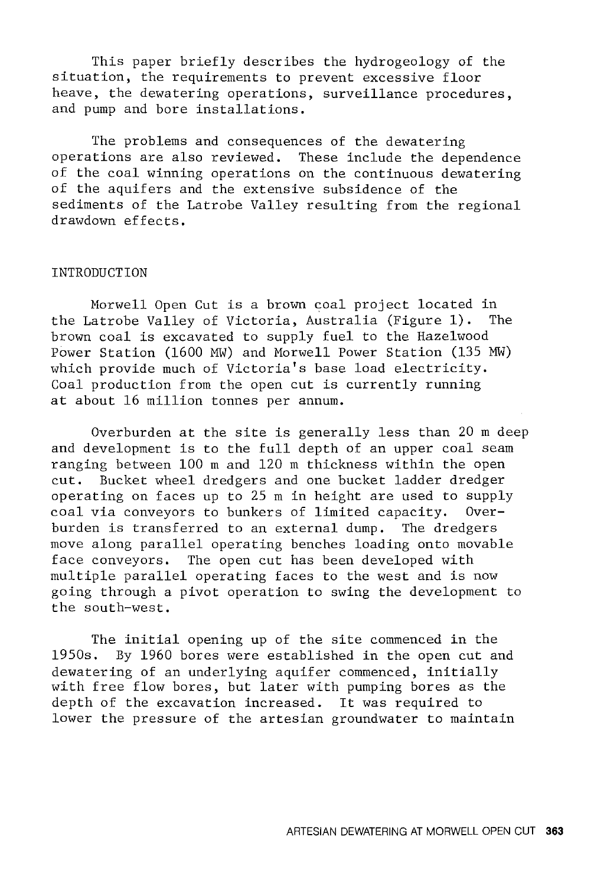This paper briefly describes the hydrogeology of the situation, the requirements to prevent excessive floor heave, the dewatering operations, surveillance procedures, and pump and bore installations.

The problems and consequences of the dewatering operations are also reviewed. These include the dependence of the coal winning operations on the continuous dewatering of the aquifers and the extensive subsidence of the sediments of the Latrobe Valley resulting from the regional drawdown effects.

## INTRODUCTION

Morwell Open Cut is a brown coal project located in the Latrobe Valley of Victoria, Australia (Figure 1). The brown coal is excavated to supply fuel to the Hazelwood Power Station (1600 MW) and Morwell Power Station (135 MW) which provide much of Victoria's base load electricity. Coal production from the open cut is currently running at about 16 million tonnes per annum.

Overburden at the site is generally less than 20 m deep and development is to the full depth of an upper coal seam ranging between 100 m and 120 m thickness within the open cut. Bucket wheel dredgers and one bucket ladder dredger operating on faces up to 25 m in height are used to supply coal via conveyors to bunkers of limited capacity. Overburden is transferred to an external dump. The dredgers move along parallel operating benches loading onto movable face conveyors. The open cut has been developed with multiple parallel operating faces to the west and is now going through a pivot operation to swing the development to the south-west.

The initial opening up of the site commenced in the 1950s. By 1960 bores were established in the open cut and dewatering of an underlying aquifer commenced, initially with free flow bores, but later with pumping bores as the depth of the excavation increased. It was required to lower the pressure of the artesian groundwater to maintain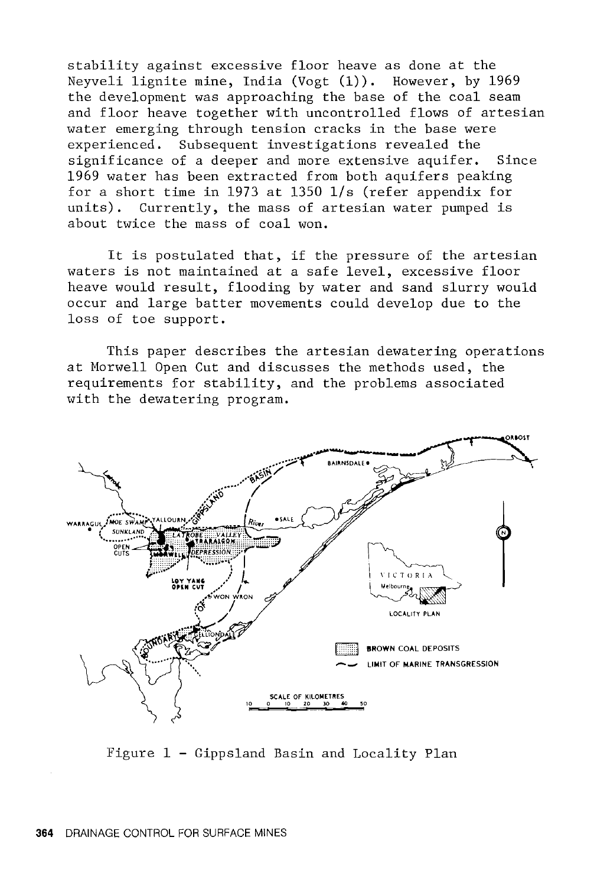stability against excessive floor heave as done at the Neyveli lignite mine, India (Vogt **(1)).** However, by 1969 the development was approaching the base of the coal seam and floor heave together with uncontrolled flows of artesian water emerging through tension cracks in the base were experienced. Subsequent investigations revealed the significance of a deeper and more extensive aquifer. Since 1969 water has been extracted from both aquifers peaking for a short time in 1973 at 1350 l/s (refer appendix for units). Currently, the mass of artesian water pumped is about twice the mass of coal won.

It is postulated that, if the pressure of the artesian waters is not maintained at a safe level, excessive floor heave would result, flooding by water and sand slurry would occur and large batter movements could develop due to the loss of toe support.

This paper describes the artesian dewatering operations at Morwell Open Cut and discusses the methods used, the requirements for stability, and the problems associated with the dewatering program.



Figure 1 - Gippsland Basin and Locality Plan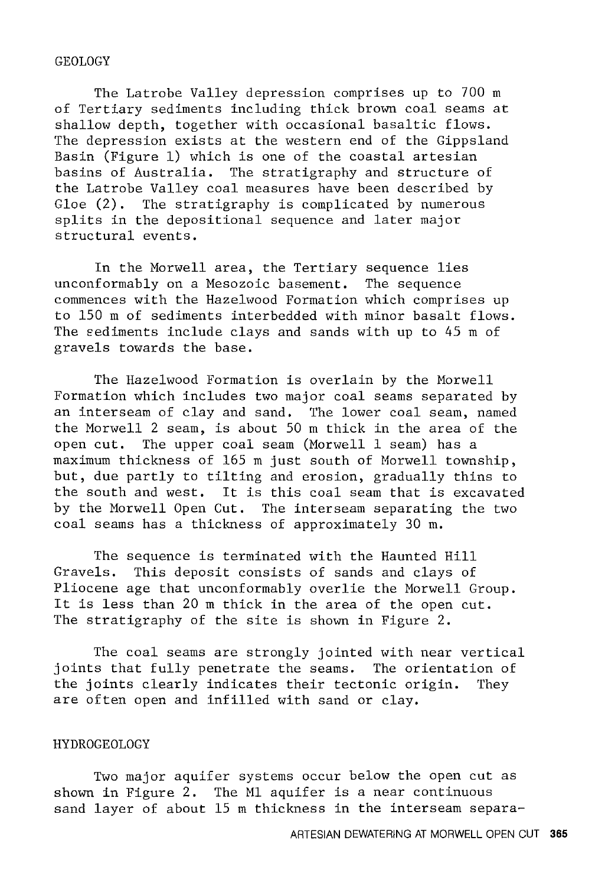#### GEOLOGY

The Latrobe Valley depression comprises up to 700 m of Tertiary sediments including thick brown coal seams at shallow depth, together with occasional basaltic flows. The depression exists at the western end of the Gippsland Basin (Figure 1) which is one of the coastal artesian basins of Australia. The stratigraphy and structure of the Latrobe Valley coal measures have been described by Gloe (2). The stratigraphy is complicated by numerous splits in the depositional sequence and later major structural events.

In the Morwell area, the Tertiary sequence lies unconformably on a Mesozoic basement. The sequence commences with the Hazelwood Formation which comprises up to 150 m of sediments interbedded with minor basalt flows. The sediments include clays and sands with up to 45 m of gravels towards the base.

The Hazelwood Formation is overlain by the Morwell Formation which includes two major coal seams separated by an interseam of clay and sand. The lower coal seam, named the Morwell 2 seam, is about 50 m thick in the area of the open cut. The upper coal seam (Morwell 1 seam) has a maximum thickness of 165 m just south of Norwell township, but, due partly to tilting and erosion, gradually thins to the south and west. It is this coal seam that is excavated by the Morwell Open Cut. The interseam separating the two coal seams has a thickness of approximately 30 m.

The sequence is terminated with the Haunted Hill Gravels. This deposit consists of sands and clays of Pliocene age that unconformably overlie the Morwell Group. It is less than 20 m thick in the area of the open cut. The stratigraphy of the site is shown in Figure 2.

The coal seams are strongly jointed with near vertical joints that fully penetrate the seams. The orientation of the joints clearly indicates their tectonic origin. They are often open and infilled with sand or clay.

#### HYDROGEOLOGY

Two major aquifer systems occur below the open cut as shown in Figure 2. The Ml aquifer is a near continuous sand layer of about 15 m thickness in the interseam separa-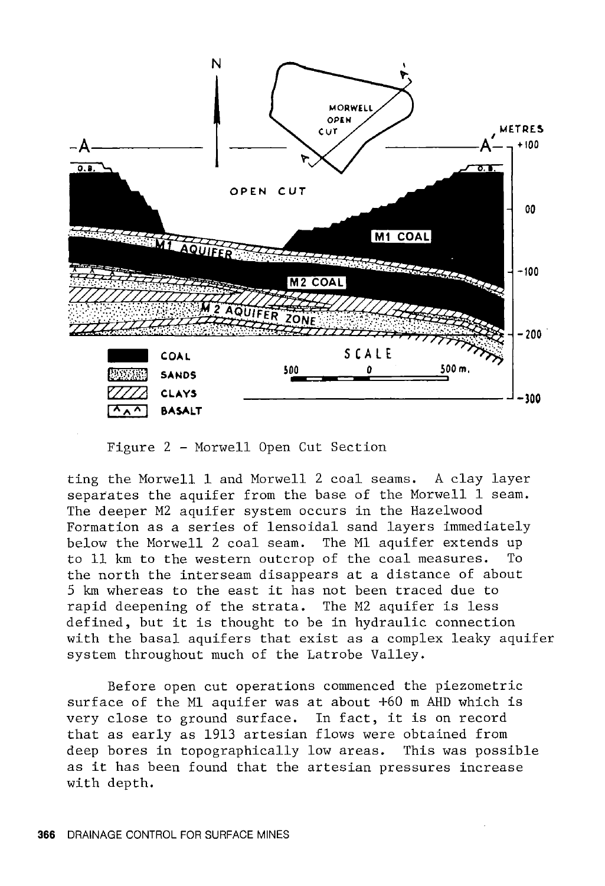

Figure 2 - Morwell Open Cut Section

ting the Morwell 1 and Morwell 2 coal seams. A clay layer separates the aquifer from the base of the Morwell 1 seam. The deeper M2 aquifer system occurs in the Hazelwood Formation as a series of lensoidal sand layers immediately below the Morwell 2 coal seam. The Ml aquifer extends up to 11 km to the western outcrop of the coal measures. To the north the interseam disappears at a distance of about <sup>5</sup>km whereas to the east it has not been traced due to rapid deepening of the strata. The M2 aquifer is less defined, but it is thought to be in hydraulic connection with the basal aquifers that exist as a complex leaky aquifer system throughout much of the Latrobe Valley.

Before open cut operations commenced the piezometric surface of the Ml aquifer was at about +60 m AHD which is very close to ground surface. In fact, it is on record that as early as 1913 artesian flows were obtained from deep bores in topographically low areas. This was possible as it has been found that the artesian pressures increase with depth.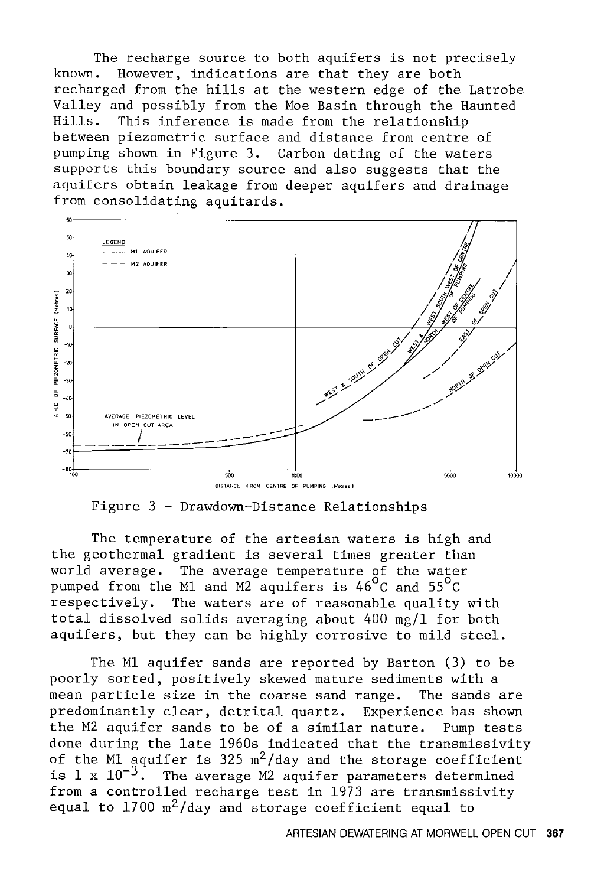The recharge source to both aquifers is not precisely<br>known. However, indications are that they are both However, indications are that they are both recharged from the hills at the western edge of the Latrobe Valley and possibly from the Moe Basin through the Haunted<br>Hills. This inference is made from the relationship This inference is made from the relationship between piezometric surface and distance from centre of pumping shown in Figure 3. Carbon dating of the waters supports this boundary source and also suggests that the aquifers obtain leakage from deeper aquifers and drainage from consolidating aquitards.



Figure 3 - Drawdown-Distance Relationships

The temperature of the artesian waters is high and the geothermal gradient is several times greater than<br>world average. The average temperature of the water The average temperature of the water pumped from the Ml and M2 aquifers is 46°c and 55°c respectively. The waters are of reasonable quality with total dissolved solids averaging about 400 mg/l for both aquifers, but they can be highly corrosive to mild steel.

The Ml aquifer sands are reported by Barton (3) to be poorly sorted, positively skewed mature sediments with a mean particle size in the coarse sand range. The sands are predominantly clear, detrital quartz. Experience has shown the M2 aquifer sands to be of a similar nature. Pump tests done during the late 1960s indicated that the transmissivity of the M1 aquifer is 325  $m^2$ /day and the storage coefficient is 1 x  $10^{-3}$ . The average M2 aquifer parameters determined from a controlled recharge test in 1973 are transmissivity equal to  $1700 \text{ m}^2/\text{day}$  and storage coefficient equal to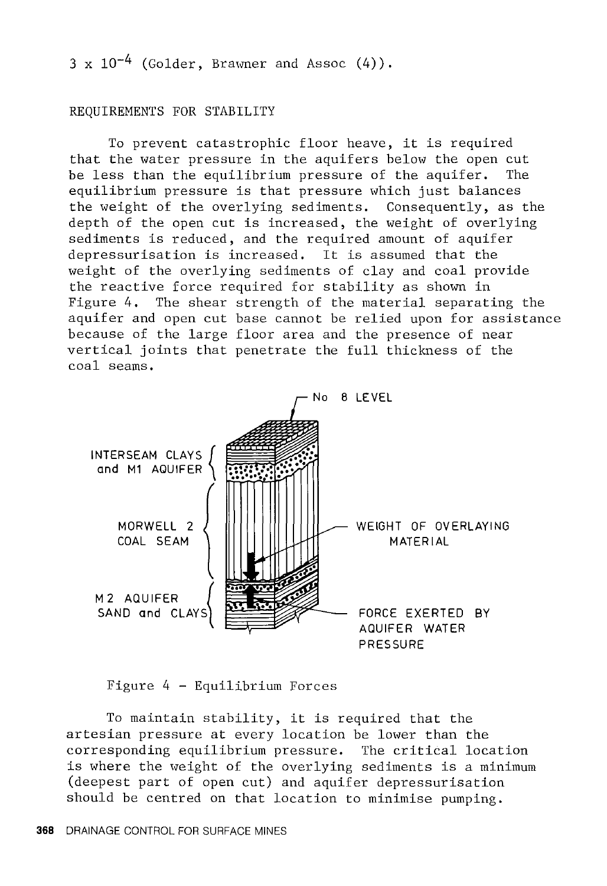$3 \times 10^{-4}$  (Golder, Brawner and Assoc  $(4)$ ).

#### REQUIREMENTS FOR STABILITY

To prevent catastrophic floor heave, it is required that the water pressure in the aquifers below the open cut be less than the equilibrium pressure of the aquifer. The equilibrium pressure is that pressure which just balances the weight of the overlying sediments. Consequently, as the depth of the open cut is increased, the weight of overlying sediments is reduced, and the required amount of aquifer depressurisation is increased. It is assumed that the weight of the overlying sediments of clay and coal provide the reactive force required for stability as shown in Figure 4. The shear strength of the material separating the aquifer and open cut base cannot be relied upon for assistance because of the large floor area and the presence of near vertical joints that penetrate the full thickness of the coal seams.



Figure 4 - Equilibrium Forces

To maintain stability, it is required that the artesian pressure at every location be lower than the corresponding equilibrium pressure. The critical location is where the weight of the overlying sediments is a minimum (deepest part of open cut) and aquifer depressurisation should be centred on that location to minimise pumping.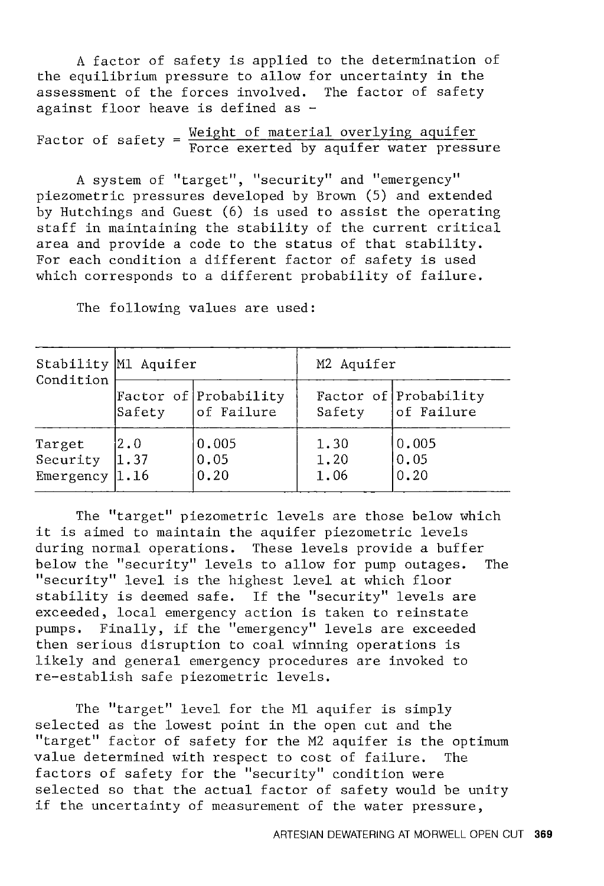A factor of safety is applied to the determination of the equilibrium pressure to allow for uncertainty in the assessment of the forces involved. The factor of safety against floor heave is defined as -

```
Factor of safety = \frac{\text{Weight of material overlying aquifer}}{\text{Force exerted by aquifer water pressure}}
```
A system of "target", "security" and "emergency" piezometric pressures developed by Brown (5) and extended by Hutchings and Guest (6) is used to assist the operating staff in maintaining the stability of the current critical area and provide a code to the status of that stability. For each condition a different factor of safety is used which corresponds to a different probability of failure.

| Condition                               | Stability M1 Aquifer |                                     | M2 Aquifer           |                                     |
|-----------------------------------------|----------------------|-------------------------------------|----------------------|-------------------------------------|
|                                         | Safety               | Factor of Probability<br>of Failure | Safety               | Factor of Probability<br>of Failure |
| Target<br>Security<br>Emergency $ 1.16$ | 2.0<br>11.37         | 0.005<br> 0.05<br>0.20              | 1.30<br>1.20<br>1.06 | 0.005<br>0.05<br>0.20               |

The following values are used:

The "target" piezometric levels are those below which it is aimed to maintain the aquifer piezometric levels during normal operations. These levels provide a buffer below the "security" levels to allow for pump outages. The "security" level is the highest level at which floor stability is deemed safe. If the "security" levels are exceeded, local emergency action is taken to reinstate pumps. Finally, if the "emergency" levels are exceeded then serious disruption to coal winning operations is likely and general emergency procedures are invoked to re-establish safe piezometric levels.

The "target" level for the Ml aquifer is simply selected as the lowest point in the open cut and the "target" factor of safety for the M2 aquifer is the optimum value determined with respect to cost of failure. The factors of safety for the "security" condition were selected so that the actual factor of safety would be unity if the uncertainty of measurement of the water pressure,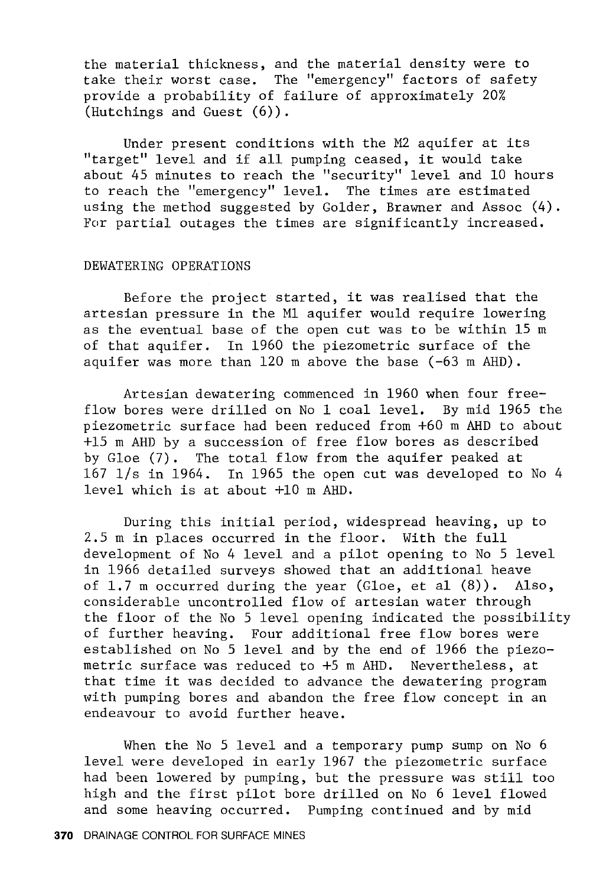the material thickness, and the material density were to take their worst case. The "emergency" factors of safety provide a probability of failure of approximately 20% (Hutchings and Guest (6)).

Under present conditions with the M2 aquifer at its "target" level and if all pumping ceased, it would take about 45 minutes to reach the "security" level and 10 hours to reach the "emergency" level. The times are estimated using the method suggested by Golder, Brawner and Assoc (4). For partial outages the times are significantly increased.

#### DEWATERING OPERATIONS

Before the project started, it was realised that the artesian pressure in the Ml aquifer would require lowering as the eventual base of the open cut was to be within 15 m of that aquifer. In 1960 the piezometric surface of the aquifer was more than 120 m above the base (-63 m AHD).

Artesian dewatering commenced in 1960 when four freeflow bores were drilled on No 1 coal level. By mid 1965 the piezometric surface had been reduced from +60 m AHD to about +15 m AHD by a succession of free flow bores as described by Gloe (7). The total flow from the aquifer peaked at 167 l/s in 1964. In 1965 the open cut was developed to No 4 level which is at about +10 m AHD.

During this initial period, widespread heaving, up to 2.5 m in places occurred in the floor. With the full development of No 4 level and a pilot opening to No 5 level in 1966 detailed surveys showed that an additional heave of 1.7 m occurred during the year (Gloe, et al (8)). Also, considerable uncontrolled flow of artesian water through the floor of the No 5 level opening indicated the possibility of further heaving. Four additional free flow bores were established on No 5 level and by the end of 1966 the piezometric surface was reduced to +5 m AHD. Nevertheless, at that time it was decided to advance the dewatering program with pumping bores and abandon the free flow concept in an endeavour to avoid further heave.

When the No 5 level and a temporary pump sump on No 6 level were developed in early 1967 the piezometric surface had been lowered by pumping, but the pressure was still too high and the first pilot bore drilled on No 6 level flowed and some heaving occurred. Pumping continued and by mid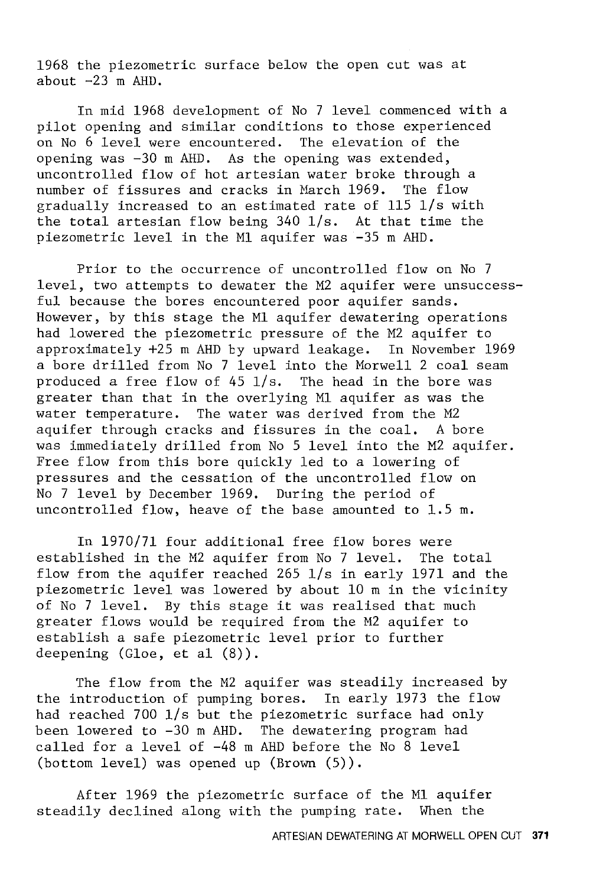1968 the piezometric surface below the open cut was at about  $-23$  m AHD.

In mid 1968 development of No 7 level commenced with a pilot opening and similar conditions to those experienced on No 6 level were encountered. The elevation of the opening was -30 m AHD. As the opening was extended, uncontrolled flow of hot artesian water broke through a number of fissures and cracks in March 1969. The flow gradually increased to an estimated rate of 115 l/s with the total artesian flow being 340 l/s. At that time the piezometric level in the Ml aquifer was -35 m AHD.

Prior to the occurrence of uncontrolled flow on No 7 level, two attempts to dewater the M2 aquifer were unsuccessful because the bores encountered poor aquifer sands. However, by this stage the Ml aquifer dewatering operations had lowered the piezometric pressure of the M2 aquifer to approximately +25 m ARD by upward leakage. In November 1969 a bore drilled from No 7 level into the Morwell 2 coal seam produced a free flow of 45 l/s. The head in the bore was greater than that in the overlying Ml aquifer as was the water temperature. The water was derived from the M2 aquifer through cracks and fissures in the coal. A bore was immediately drilled from No 5 level into the M2 aquifer. Free flow from this bore quickly led to a lowering of pressures and the cessation of the uncontrolled flow on No 7 level by December 1969. During the period of uncontrolled flow, heave of the base amounted to 1.5 m.

In 1970/71 four additional free flow bores were established in the M2 aquifer from No 7 level. The total flow from the aquifer reached 265 l/s in early 1971 and the piezometric level was lowered by about 10 m in the vicinity of No 7 level. By this stage it was realised that much greater flows would be required from the M2 aquifer to establish a safe piezometric level prior to further deepening (Gloe, et al (8)).

The flow from the M2 aquifer was steadily increased by the introduction of pumping bores. In early 1973 the flow had reached 700 l/s but the piezometric surface had only been lowered to -30 m AHD. The dewatering program had called for a level of -48 m AHD before the No 8 level (bottom level) was opened up (Brown (5)).

After 1969 the piezometric surface of the Ml aquifer steadily declined along with the pumping rate. When the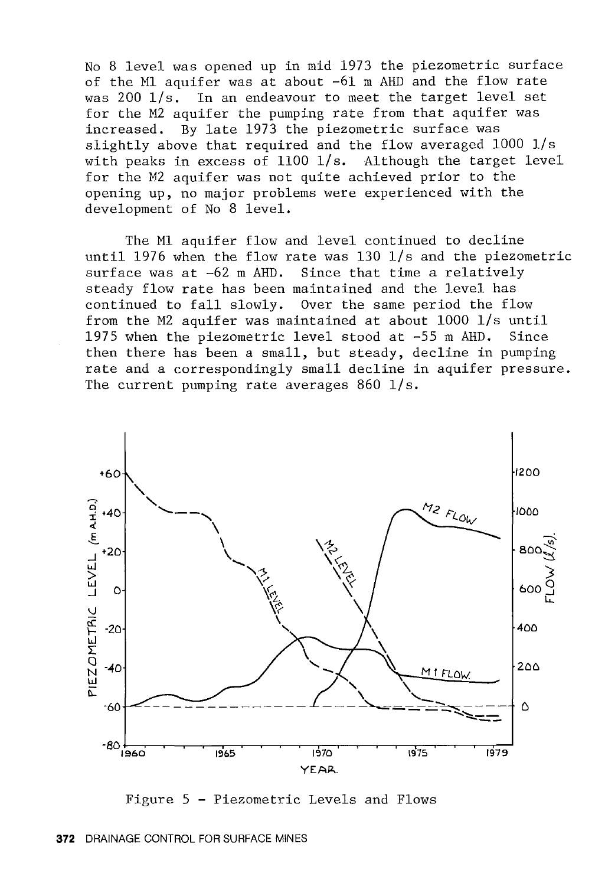No 8 level was opened up in mid 1973 the piezometric surface of the Ml aquifer was at about -61 m ARD and the flow rate was 200 l/s. In an endeavour to meet the target level set for the M2 aquifer the pumping rate from that aquifer was increased. By late 1973 the piezometric surface was slightly above that required and the flow averaged 1000 l/s with peaks in excess of 1100 l/s. Although the target level for the *M2* aquifer was not quite achieved prior to the opening up, no major problems were experienced with the development of No 8 level.

The Ml aquifer flow and level continued to decline until 1976 when the flow rate was 130 l/s and the piezometric surface was at  $-62$  m AHD. Since that time a relatively steady flow rate has been maintained and the level has continued to fall slowly. Over the same period the flow from the M2 aquifer was maintained at about 1000 l/s until 1975 when the piezometric level stood at  $-55$  m AHD. then there has been a small, but steady, decline in pumping rate and a correspondingly small decline in aquifer pressure. The current pumping rate averages 860 1/s.



Figure 5 - Piezometric Levels and Flows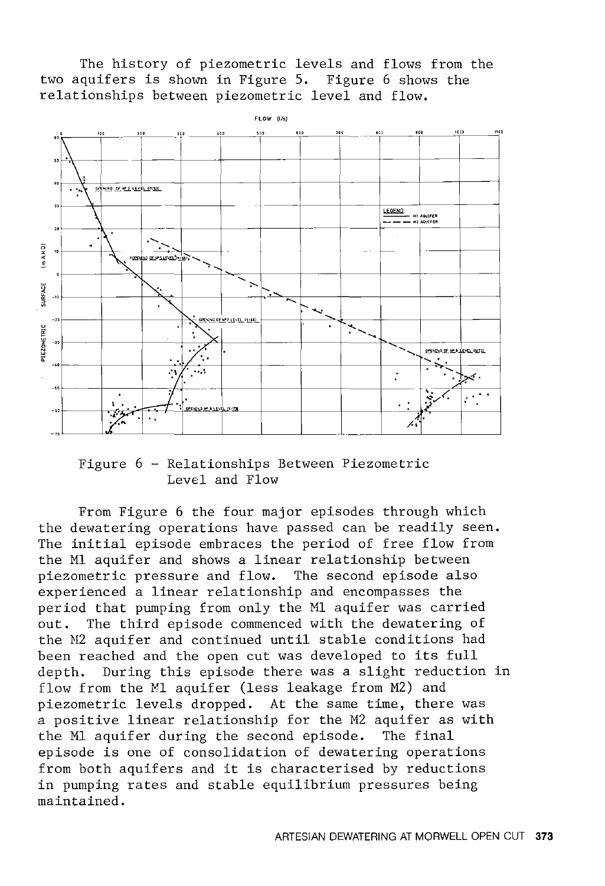The history of piezometric levels and flows from the two aquifers is shown in Figure 5. Figure 6 shows the relationships between piezometric level and flow.



Figure 6 - Relationships Between Piezometric Level and Flow

From Figure 6 the four major episodes through which the dewatering operations have passed can be readily seen. The initial episode embraces the period of free flow from the Ml aquifer and shows a linear relationship between piezometric pressure and flow. The second episode also experienced a linear relationship and encompasses the period that pumping from only the Ml aquifer was carried out. The third episode commenced with the dewatering of the N2 aquifer and continued until stable conditions had been reached and the open cut was developed to its full depth. During this episode there was a slight reduction in flow from the Ml aquifer (less leakage from M2) and piezometric levels dropped. At the same time, there was a positive linear relationship for the M2 aquifer as with the Ml aquifer during the second episode. The final episode is one of consolidation of dewatering operations from both aquifers and it is characterised by reductions in pumping rates and stable equilibrium pressures being maintained.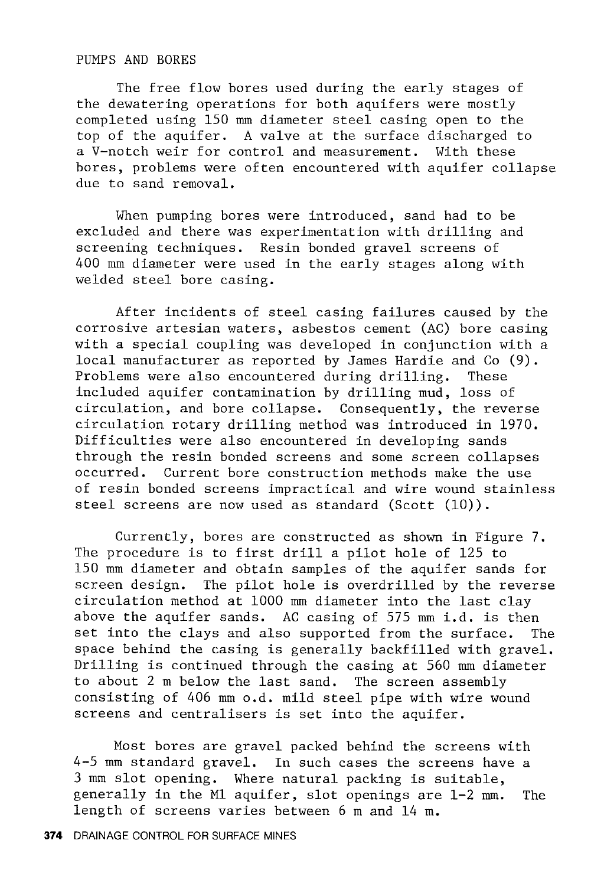#### PUMPS AND BORES

The free flow bores used during the early stages of the dewatering operations for both aquifers were mostly completed using 150 mm diameter steel casing open to the top of the aquifer. A valve at the surface discharged to a V-notch weir for control and measurement. With these bores, problems were often encountered with aquifer collapse due to sand removal.

When pumping bores were introduced, sand had to be excluded and there was experimentation with drilling and screening techniques. Resin bonded gravel screens of 400 mm diameter were used in the early stages along with welded steel bore casing.

After incidents of steel casing failures caused by the corrosive artesian waters, asbestos cement (AC) bore casing with a special coupling was developed in conjunction with a local manufacturer as reported by James Hardie and Co (9). Problems were also encountered during drilling. These included aquifer contamination by drilling mud, loss of circulation, and bore collapse. Consequently, the reverse circulation rotary drilling method was introduced in 1970. Difficulties were also encountered in developing sands through the resin bonded screens and some screen collapses occurred. Current bore construction methods make the use of resin bonded screens impractical and wire wound stainless steel screens are now used as standard (Scott (10)).

Currently, bores are constructed as shown in Figure 7. The procedure is to first drill a pilot hole of 125 to 150 mm diameter and obtain samples of the aquifer sands for screen design. The pilot hole is overdrilled by the reverse circulation method at 1000 mm diameter into the last clay above the aquifer sands. AC casing of 575 mm i.d. is then set into the clays and also supported from the surface. The space behind the casing is generally backfilled with gravel. Drilling is continued through the casing at 560 mm diameter to about 2 m below the last sand. The screen assembly consisting of 406 mm o.d. mild steel pipe with wire wound screens and centralisers is set into the aquifer.

Most bores are gravel packed behind the screens with 4-5 mm standard gravel. In such cases the screens have a 3 mm slot opening. Where natural packing is suitable, generally in the Ml aquifer, slot openings are 1-2 mm. The length of screens varies between 6 m and 14 m.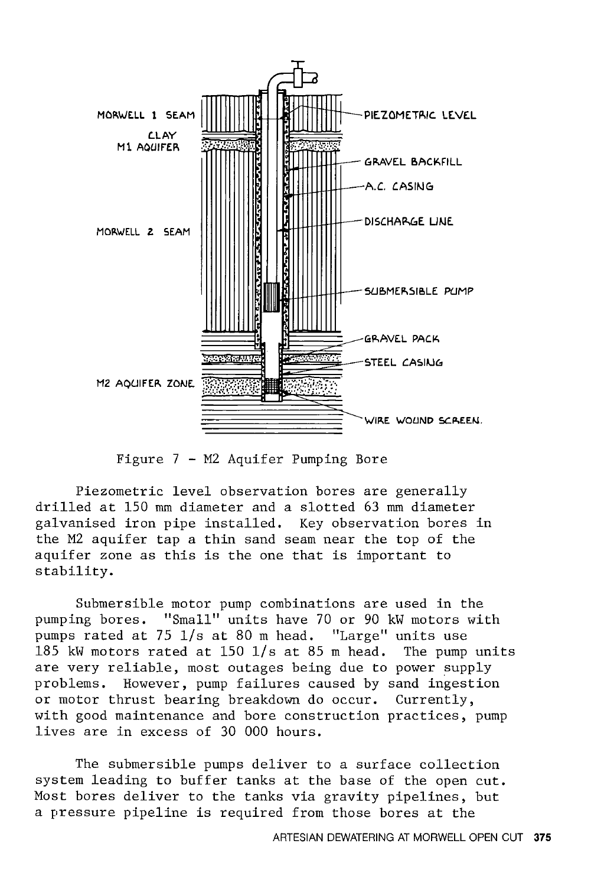

Figure 7 - M2 Aquifer Pumping Bore

Piezometric level observation bores are generally drilled at 150 mm diameter and a slotted 63 mm diameter galvanised iron pipe installed. Key observation bores in the M2 aquifer tap a thin sand seam near the top of the aquifer zone as this is the one that is important to stability.

Submersible motor pump combinations are used in the pumping bores. "Small" units have 70 or 90 kW motors with pumps rated at 75 l/s at 80 m head. "Large" units use 185 kW motors rated at 150 l/s at 85 m head. The pump units are very reliable, most outages being due to power supply problems. However, pump failures caused by sand ingestion or motor thrust bearing breakdown do occur. Currently, with good maintenance and bore construction practices, pump lives are in excess of 30 000 hours.

The submersible pumps deliver to a surface collection system leading to buffer tanks at the base of the open cut. Most bores deliver to the tanks via gravity pipelines, but a pressure pipeline is required from those bores at the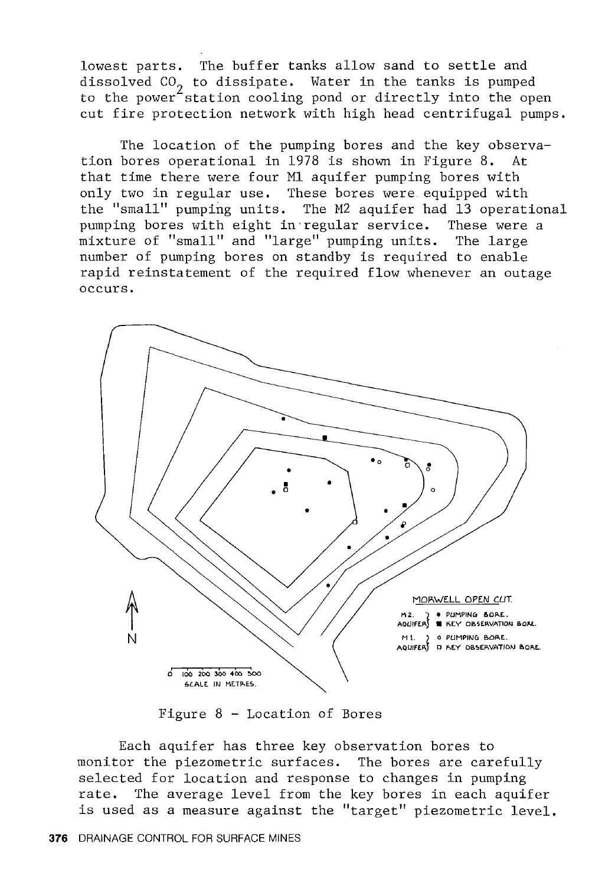lowest parts. The buffer tanks allow sand to settle and dissolved CO<sub>2</sub> to dissipate. Water in the tanks is pumped<br>to the power station cooling pond or directly into the open cut fire protection network with high head centrifugal pumps.

The location of the pumping bores and the key observation bores operational in 1978 is shown in Figure 8. that time there were four Ml aquifer pumping bores with only two in regular use. These bores were. equipped with the "small" pumping units. The M2 aquifer had 13 operational pumping bores with eight in·regular service. These were a mixture of "small" and "large" pumping units. The large number of pumping bores on standby is required to enable rapid reinstatement of the required flow whenever an outage occurs.



Figure 8 - Location of Bores

Each aquifer has three key observation bores to monitor the piezometric surfaces. The bores are carefully selected for location and response to changes in pumping rate. The average level from the key bores in each aquifer is used as a measure against the "target" piezometric level.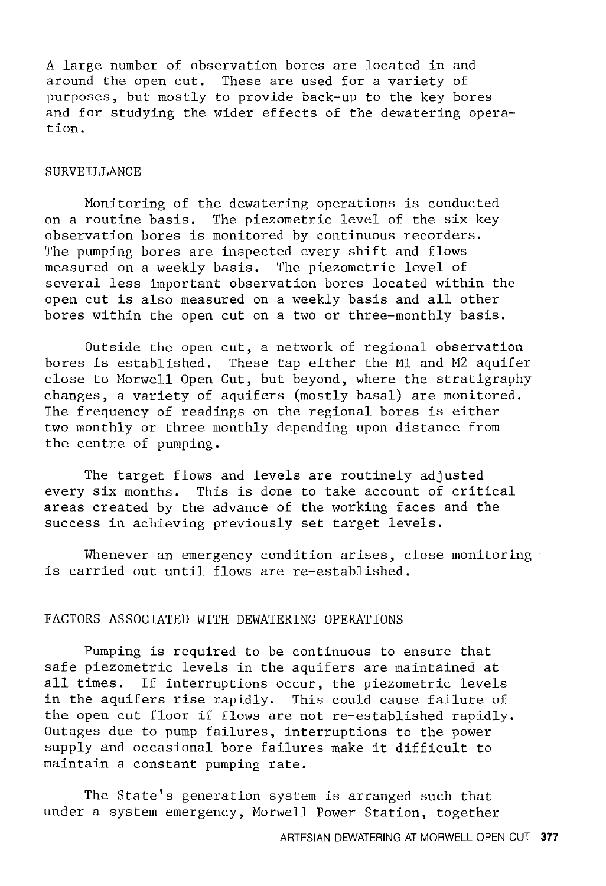A large number of observation bores are located in and around the open cut. These are used for a variety of purposes, but mostly to provide back-up to the key bores and for studying the wider effects of the dewatering operation.

#### SURVEILLANCE

Monitoring of the dewatering operations is conducted on a routine basis. The piezometric level of the six key observation bores is monitored by continuous recorders. The pumping bores are inspected every shift and flows measured on a weekly basis. The piezometric level of several less important observation bores located within the open cut is also measured on a weekly basis and all other bores within the open cut on a two or three-monthly basis.

Outside the open cut, a network of regional observation bores is established. These tap either the Ml and M2 aquifer close to Morwell Open Cut, but beyond, where the stratigraphy changes, a variety of aquifers (mostly basal) are monitored. The frequency of readings on the regional bores is either two monthly or three monthly depending upon distance from the centre of pumping.

The target flows and levels are routinely adjusted every six months. This is done to take account of critical areas created by the advance of the working faces and the success in achieving previously set target levels.

Whenever an emergency condition arises, close monitoring is carried out until flows are re-established.

# FACTORS ASSOCIATED WITH DEWATERING OPERATIONS

Pumping is required to be continuous to ensure that safe piezometric levels in the aquifers are maintained at all times. If interruptions occur, the piezometric levels in the aquifers rise rapidly. This could cause failure of the open cut floor if flows are not re-established rapidly. Outages due to pump failures, interruptions to the power supply and occasional bore failures make it difficult to maintain a constant pumping rate.

The State's generation system is arranged such that under a system emergency, Morwell Power Station, together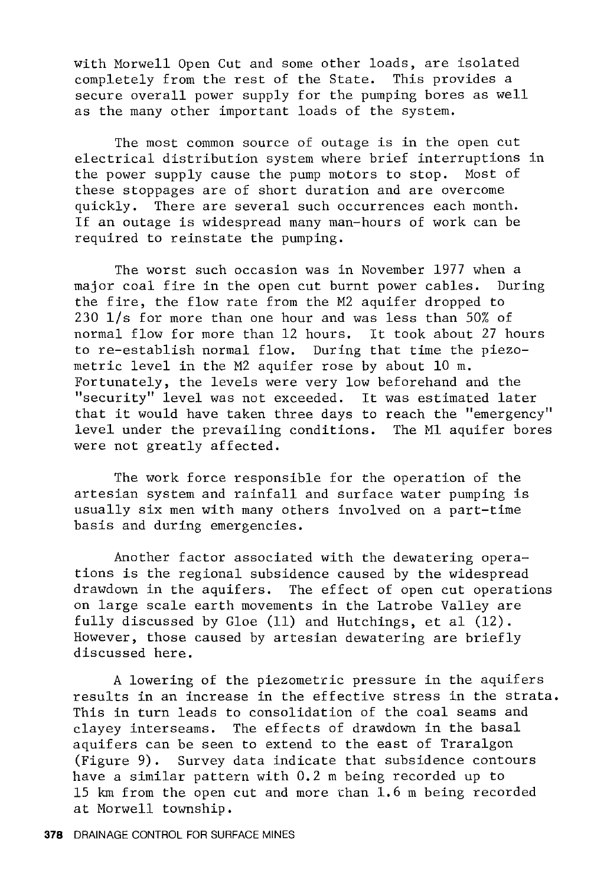with Morwell Open Cut and some other loads, are isolated completely from the rest of the State. This provides a secure overall power supply for the pumping bores as well as the many other important loads of the system.

The most common source of outage is in the open cut electrical distribution system where brief interruptions in<br>the power supply cause the pump motors to stop. Most of the power supply cause the pump motors to stop. these stoppages are of short duration and are overcome quickly. There are several such occurrences each month. If an outage is widespread many man-hours of work can be required to reinstate the pumping.

The worst such occasion was in November 1977 when a major coal fire in the open cut burnt power cables. During the fire, the flow rate from the M2 aquifer dropped to 230 l/s for more than one hour and was less than 50% of normal flow for more than 12 hours. It took about 27 hours to re-establish normal flow. During that time the piezometric level in the M2 aquifer rose by about 10 m. Fortunately, the levels were very low beforehand and the "security" level was not exceeded. It was estimated later that it would have taken three days to reach the "emergency" level under the prevailing conditions. The Ml aquifer bores were not greatly affected.

The work force responsible for the operation of the artesian system and rainfall and surface water pumping is usually six men with many others involved on a part-time basis and during emergencies.

Another factor associated with the dewatering operations is the regional subsidence caused by the widespread drawdown in the aquifers. The effect of open cut operations on large scale earth movements in the Latrobe Valley are fully discussed by Gloe (11) and Hutchings, et al (12). However, those caused by artesian dewatering are briefly discussed here.

A lowering of the piezometric pressure in the aquifers results in an increase in the effective stress in the strata. This in turn leads to consolidation of the coal seams and clayey interseams. The effects of drawdown in the basal aquifers can be seen to extend to the east of Traralgon (Figure 9). Survey data indicate that subsidence contours have a similar pattern with 0.2 m being recorded up to 15 km from the open cut and more than 1.6 m being recorded at Morwell township.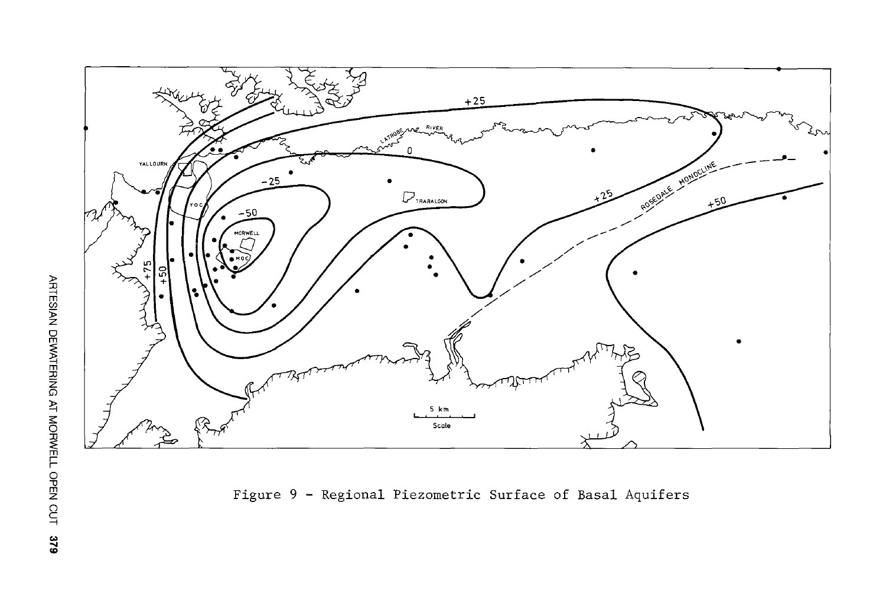

Figure 9 - Regional Piezometric Surface of Basal Aquifers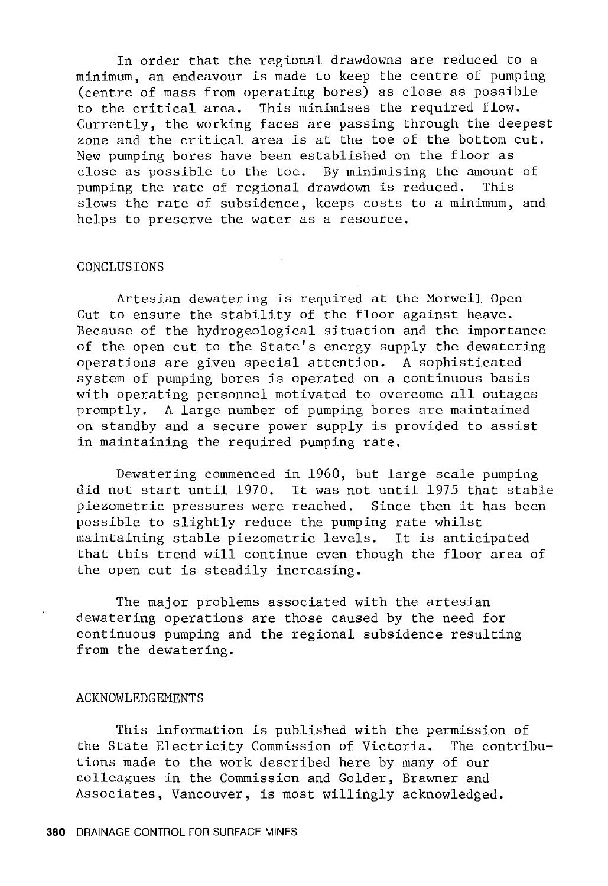In order that the regional drawdowns are reduced to a minimum, an endeavour is made to keep the centre of pumping (centre of mass from operating bores) as close as possible to the critical area. This minimises the required flow. Currently, the working faces are passing through the deepest zone and the critical area is at the toe of the bottom cut. New pumping bores have been established on the floor as close as possible to the toe. By minimising the amount of pumping the rate of regional drawdown is reduced. This slows the rate of subsidence, keeps costs to a minimum, and helps to preserve the water as a resource.

#### CONCLUSIONS

Artesian dewatering is required at the Morwell Open Cut to ensure the stability of the floor against heave. Because of the hydrogeological situation and the importance of the open cut to the State's energy supply the dewatering operations are given special attention. A sophisticated system of pumping bores is operated on a continuous basis with operating personnel motivated to overcome all outages promptly. A large number of pumping bores are maintained on standby and a secure power supply is provided to assist in maintaining the required pumping rate.

Dewatering commenced in 1960, but large scale pumping did not start until 1970. It was not until 1975 that stable piezometric pressures were reached. Since then it has been possible to slightly reduce the pumping rate whilst maintaining stable piezometric levels. It is anticipated that this trend will continue even though the floor area of the open cut is steadily increasing.

The major problems associated with the artesian dewatering operations are those caused by the need for continuous pumping and the regional subsidence resulting from the dewatering.

#### ACKNOWLEDGEMENTS

This information is published with the permission of the State Electricity Commission of Victoria. The contributions made to the work described here by many of our colleagues in the Commission and Golder, Brawner and Associates, Vancouver, is most willingly acknowledged.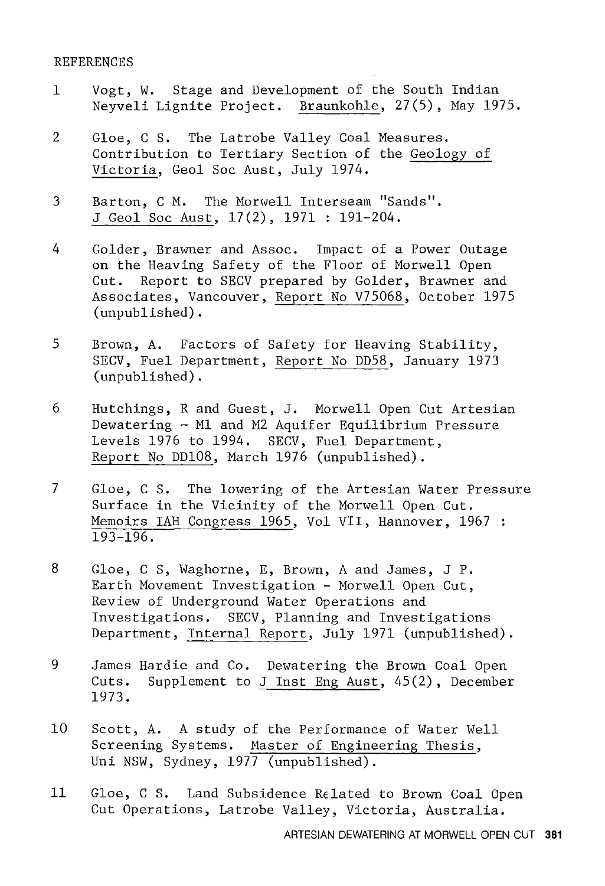#### REFERENCES

- 1 Vogt, W. Stage and Development of the South Indian Neyveli Lignite Project. Braunkohle, 27(5), May 1975.
- 2 Gloe, C S. The Latrobe Valley Coal Measures. Contribution to Tertiary Section of the Geology of Victoria, Geol Soc Aust, July 1974.
- 3 Barton, CM. The Morwell Interseam "Sands". J Geol Soc Aust, 17(2), 1971 : 191-204.
- 4 Golder, Brawner and Assoc. Impact of a Power Outage on the Heaving Safety of the Floor of Morwell Open Cut. Report to SECV prepared by Golder, Brawner and Associates, Vancouver, Report No V75068, October 1975 (unpublished).
- 5 Brown, A. Factors of Safety for Heaving Stability, SECV, Fuel Department, Report No DD58, January 1973 (unpublished).
- 6 Hutchings, R and Guest, J. Morwell Open Cut Artesian Dewatering - Ml and M2 Aquifer Equilibrium Pressure Levels 1976 to 1994. SECV, Fuel Department, Report No DD108, March 1976 (unpublished).
- 7 Gloe, C S. The lowering of the Artesian Water Pressure Surface in the Vicinity of the Morwell Open Cut. Memoirs IAH Congress 1965, Vol VII, Hannover, 1967 : 193-196.
- 8 Gloe, C S, Waghorne, E, Brown, A and James, J P. Earth Movement Investigation - Morwell Open Cut, Review of Underground Water Operations and Investigations. SECV, Planning and Investigations Department, Internal Report, July 1971 (unpublished).
- 9 James Hardie and Co. Dewatering the Brown Coal Open Cuts. Supplement to J Inst Eng Aust, 45(2), December 1973.
- 10 Scott, A. A study of the Performance of Water Well Screening Systems. Master of Engineering Thesis, Uni NSW, Sydney, 1977 (unpublished).
- 11 Gloe, C S. Land Subsidence Related to Brown Coal Open Cut Operations, Latrobe Valley, Victoria, Australia.